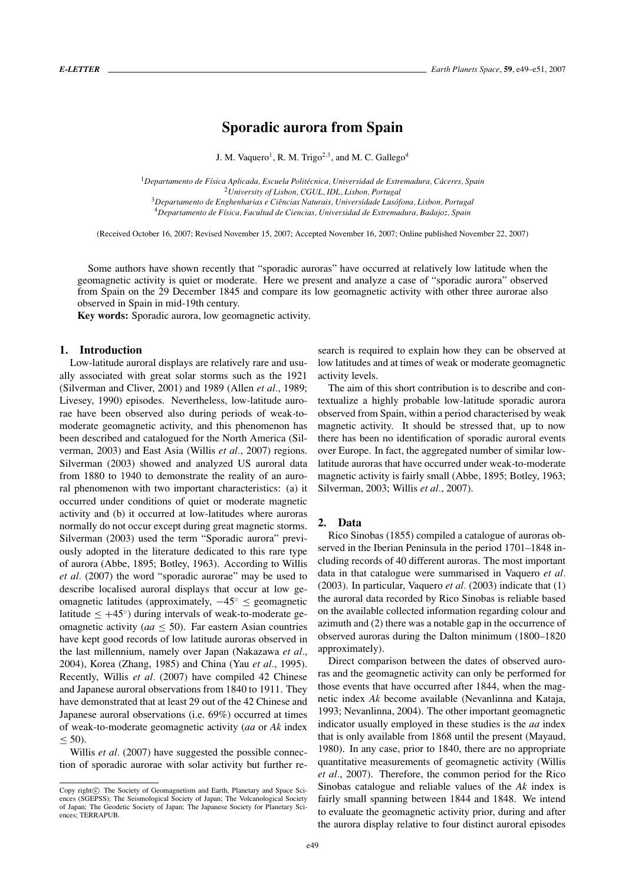# **Sporadic aurora from Spain**

J. M. Vaquero<sup>1</sup>, R. M. Trigo<sup>2,3</sup>, and M. C. Gallego<sup>4</sup>

*Departamento de F´ısica Aplicada, Escuela Politecnica, Universidad de Extremadura, C ´ aceres, Spain ´ University of Lisbon, CGUL, IDL, Lisbon, Portugal Departamento de Enghenharias e Ciencias Naturais, Universidade Lus ˆ ofona, Lisbon, Portugal ´ Departamento de F´ısica, Facultad de Ciencias, Universidad de Extremadura, Badajoz, Spain*

(Received October 16, 2007; Revised November 15, 2007; Accepted November 16, 2007; Online published November 22, 2007)

Some authors have shown recently that "sporadic auroras" have occurred at relatively low latitude when the geomagnetic activity is quiet or moderate. Here we present and analyze a case of "sporadic aurora" observed from Spain on the 29 December 1845 and compare its low geomagnetic activity with other three aurorae also observed in Spain in mid-19th century.

**Key words:** Sporadic aurora, low geomagnetic activity.

## **1. Introduction**

Low-latitude auroral displays are relatively rare and usually associated with great solar storms such as the 1921 (Silverman and Cliver, 2001) and 1989 (Allen *et al.*, 1989; Livesey, 1990) episodes. Nevertheless, low-latitude aurorae have been observed also during periods of weak-tomoderate geomagnetic activity, and this phenomenon has been described and catalogued for the North America (Silverman, 2003) and East Asia (Willis *et al.*, 2007) regions. Silverman (2003) showed and analyzed US auroral data from 1880 to 1940 to demonstrate the reality of an auroral phenomenon with two important characteristics: (a) it occurred under conditions of quiet or moderate magnetic activity and (b) it occurred at low-latitudes where auroras normally do not occur except during great magnetic storms. Silverman (2003) used the term "Sporadic aurora" previously adopted in the literature dedicated to this rare type of aurora (Abbe, 1895; Botley, 1963). According to Willis *et al.* (2007) the word "sporadic aurorae" may be used to describe localised auroral displays that occur at low geomagnetic latitudes (approximately,  $-45° \le$  geomagnetic latitude  $\leq +45°$ ) during intervals of weak-to-moderate geomagnetic activity (*aa* ≤ 50). Far eastern Asian countries have kept good records of low latitude auroras observed in the last millennium, namely over Japan (Nakazawa *et al.*, 2004), Korea (Zhang, 1985) and China (Yau *et al.*, 1995). Recently, Willis *et al.* (2007) have compiled 42 Chinese and Japanese auroral observations from 1840 to 1911. They have demonstrated that at least 29 out of the 42 Chinese and Japanese auroral observations (i.e. 69%) occurred at times of weak-to-moderate geomagnetic activity (*aa* or *Ak* index  $< 50$ ).

Willis *et al.* (2007) have suggested the possible connection of sporadic aurorae with solar activity but further re-

search is required to explain how they can be observed at low latitudes and at times of weak or moderate geomagnetic activity levels.

The aim of this short contribution is to describe and contextualize a highly probable low-latitude sporadic aurora observed from Spain, within a period characterised by weak magnetic activity. It should be stressed that, up to now there has been no identification of sporadic auroral events over Europe. In fact, the aggregated number of similar lowlatitude auroras that have occurred under weak-to-moderate magnetic activity is fairly small (Abbe, 1895; Botley, 1963; Silverman, 2003; Willis *et al.*, 2007).

#### **2. Data**

Rico Sinobas (1855) compiled a catalogue of auroras observed in the Iberian Peninsula in the period 1701–1848 including records of 40 different auroras. The most important data in that catalogue were summarised in Vaquero *et al.* (2003). In particular, Vaquero *et al.* (2003) indicate that (1) the auroral data recorded by Rico Sinobas is reliable based on the available collected information regarding colour and azimuth and (2) there was a notable gap in the occurrence of observed auroras during the Dalton minimum (1800–1820 approximately).

Direct comparison between the dates of observed auroras and the geomagnetic activity can only be performed for those events that have occurred after 1844, when the magnetic index *Ak* become available (Nevanlinna and Kataja, 1993; Nevanlinna, 2004). The other important geomagnetic indicator usually employed in these studies is the *aa* index that is only available from 1868 until the present (Mayaud, 1980). In any case, prior to 1840, there are no appropriate quantitative measurements of geomagnetic activity (Willis *et al.*, 2007). Therefore, the common period for the Rico Sinobas catalogue and reliable values of the *Ak* index is fairly small spanning between 1844 and 1848. We intend to evaluate the geomagnetic activity prior, during and after the aurora display relative to four distinct auroral episodes

Copy right $\odot$  The Society of Geomagnetism and Earth, Planetary and Space Sciences (SGEPSS); The Seismological Society of Japan; The Volcanological Society of Japan; The Geodetic Society of Japan; The Japanese Society for Planetary Sciences; TERRAPUB.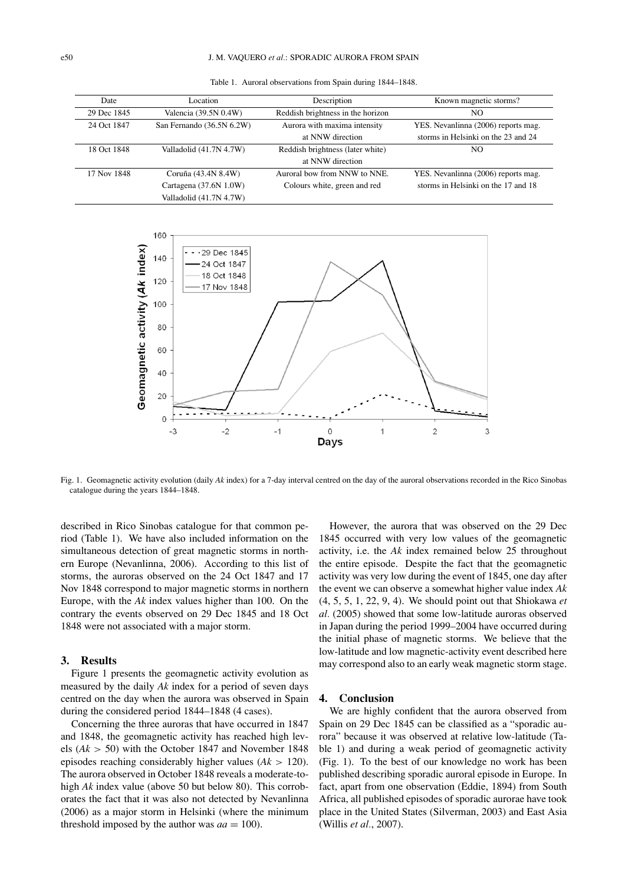| Date        | Location                  | Description                       | Known magnetic storms?              |
|-------------|---------------------------|-----------------------------------|-------------------------------------|
| 29 Dec 1845 | Valencia (39.5N 0.4W)     | Reddish brightness in the horizon | NO                                  |
| 24 Oct 1847 | San Fernando (36.5N 6.2W) | Aurora with maxima intensity      | YES. Nevanlinna (2006) reports mag. |
|             |                           | at NNW direction                  | storms in Helsinki on the 23 and 24 |
| 18 Oct 1848 | Valladolid (41.7N 4.7W)   | Reddish brightness (later white)  | NO                                  |
|             |                           | at NNW direction                  |                                     |
| 17 Nov 1848 | Coruña (43.4N 8.4W)       | Auroral bow from NNW to NNE.      | YES. Nevanlinna (2006) reports mag. |
|             | Cartagena (37.6N 1.0W)    | Colours white, green and red      | storms in Helsinki on the 17 and 18 |
|             | Valladolid (41.7N 4.7W)   |                                   |                                     |

Table 1. Auroral observations from Spain during 1844–1848.



Fig. 1. Geomagnetic activity evolution (daily *Ak* index) for a 7-day interval centred on the day of the auroral observations recorded in the Rico Sinobas catalogue during the years 1844–1848.

described in Rico Sinobas catalogue for that common period (Table 1). We have also included information on the simultaneous detection of great magnetic storms in northern Europe (Nevanlinna, 2006). According to this list of storms, the auroras observed on the 24 Oct 1847 and 17 Nov 1848 correspond to major magnetic storms in northern Europe, with the *Ak* index values higher than 100. On the contrary the events observed on 29 Dec 1845 and 18 Oct 1848 were not associated with a major storm.

### **3. Results**

Figure 1 presents the geomagnetic activity evolution as measured by the daily *Ak* index for a period of seven days centred on the day when the aurora was observed in Spain during the considered period 1844–1848 (4 cases).

Concerning the three auroras that have occurred in 1847 and 1848, the geomagnetic activity has reached high levels (*Ak* > 50) with the October 1847 and November 1848 episodes reaching considerably higher values (*Ak* > 120). The aurora observed in October 1848 reveals a moderate-tohigh *Ak* index value (above 50 but below 80). This corroborates the fact that it was also not detected by Nevanlinna (2006) as a major storm in Helsinki (where the minimum threshold imposed by the author was  $aa = 100$ ).

However, the aurora that was observed on the 29 Dec 1845 occurred with very low values of the geomagnetic activity, i.e. the *Ak* index remained below 25 throughout the entire episode. Despite the fact that the geomagnetic activity was very low during the event of 1845, one day after the event we can observe a somewhat higher value index *Ak* (4, 5, 5, 1, 22, 9, 4). We should point out that Shiokawa *et al.* (2005) showed that some low-latitude auroras observed in Japan during the period 1999–2004 have occurred during the initial phase of magnetic storms. We believe that the low-latitude and low magnetic-activity event described here may correspond also to an early weak magnetic storm stage.

#### **4. Conclusion**

We are highly confident that the aurora observed from Spain on 29 Dec 1845 can be classified as a "sporadic aurora" because it was observed at relative low-latitude (Table 1) and during a weak period of geomagnetic activity (Fig. 1). To the best of our knowledge no work has been published describing sporadic auroral episode in Europe. In fact, apart from one observation (Eddie, 1894) from South Africa, all published episodes of sporadic aurorae have took place in the United States (Silverman, 2003) and East Asia (Willis *et al.*, 2007).